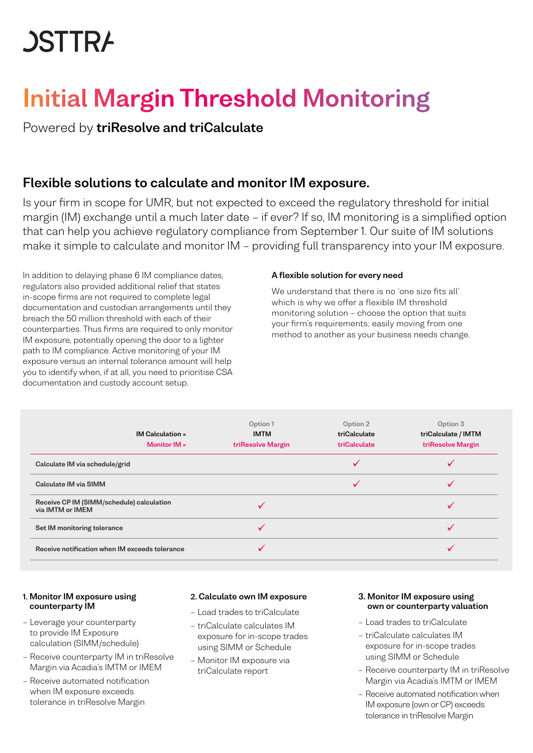# **JSTTRA**

## Initial Margin Threshold Monitoring

Powered by triResolve and triCalculate

## Flexible solutions to calculate and monitor IM exposure.

Is your firm in scope for UMR, but not expected to exceed the regulatory threshold for initial margin (IM) exchange until a much later date – if ever? If so, IM monitoring is a simplified option that can help you achieve regulatory compliance from September 1. Our suite of IM solutions make it simple to calculate and monitor IM – providing full transparency into your IM exposure.

In addition to delaying phase 6 IM compliance dates, regulators also provided additional relief that states in-scope firms are not required to complete legal documentation and custodian arrangements until they breach the 50 million threshold with each of their counterparties. Thus firms are required to only monitor IM exposure, potentially opening the door to a lighter path to IM compliance. Active monitoring of your IM exposure versus an internal tolerance amount will help you to identify when, if at all, you need to prioritise CSA documentation and custody account setup.

#### A flexible solution for every need

We understand that there is no 'one size fits all' which is why we offer a flexible IM threshold monitoring solution – choose the option that suits your firm's requirements; easily moving from one method to another as your business needs change.

| $IM$ Calculation =<br>Monitor $IM =$                          | Option 1<br><b>IMTM</b><br>triResolve Margin | Option 2<br>triCalculate<br>triCalculate | Option 3<br>triCalculate / IMTM<br>triResolve Margin |
|---------------------------------------------------------------|----------------------------------------------|------------------------------------------|------------------------------------------------------|
| Calculate IM via schedule/grid                                |                                              |                                          |                                                      |
| Calculate IM via SIMM                                         |                                              |                                          |                                                      |
| Receive CP IM (SIMM/schedule) calculation<br>via IMTM or IMEM |                                              |                                          |                                                      |
| Set IM monitoring tolerance                                   |                                              |                                          |                                                      |
| Receive notification when IM exceeds tolerance                |                                              |                                          |                                                      |

#### 1. Monitor IM exposure using counterparty IM

- Leverage your counterparty to provide IM Exposure calculation (SIMM/schedule)
- Receive counterparty IM in triResolve Margin via Acadia's IMTM or IMEM
- Receive automated notification when IM exposure exceeds tolerance in triResolve Margin

#### 2. Calculate own IM exposure

- Load trades to triCalculate
- triCalculate calculates IM exposure for in-scope trades using SIMM or Schedule
- Monitor IM exposure via triCalculate report

#### 3. Monitor IM exposure using own or counterparty valuation

- Load trades to triCalculate
- triCalculate calculates IM exposure for in-scope trades using SIMM or Schedule
- Receive counterparty IM in triResolve Margin via Acadia's IMTM or IMEM
- Receive automated notification when IM exposure (own or CP) exceeds tolerance in triResolve Margin